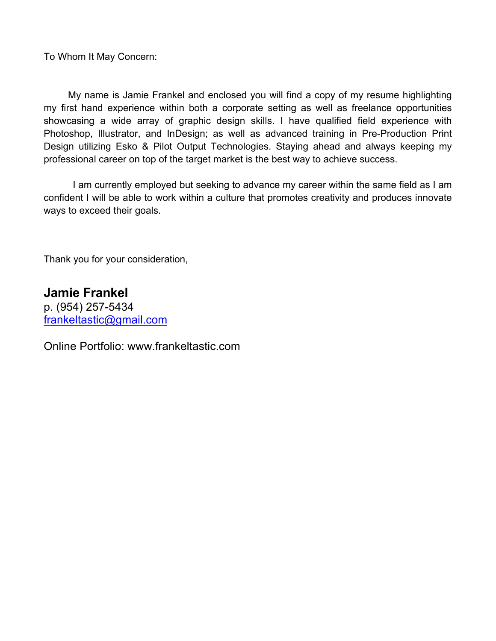To Whom It May Concern:

 My name is Jamie Frankel and enclosed you will find a copy of my resume highlighting my first hand experience within both a corporate setting as well as freelance opportunities showcasing a wide array of graphic design skills. I have qualified field experience with Photoshop, Illustrator, and InDesign; as well as advanced training in Pre-Production Print Design utilizing Esko & Pilot Output Technologies. Staying ahead and always keeping my professional career on top of the target market is the best way to achieve success.

I am currently employed but seeking to advance my career within the same field as I am confident I will be able to work within a culture that promotes creativity and produces innovate ways to exceed their goals.

Thank you for your consideration,

**Jamie Frankel** p. (954) 257-5434 frankeltastic@gmail.com

Online Portfolio: www.frankeltastic.com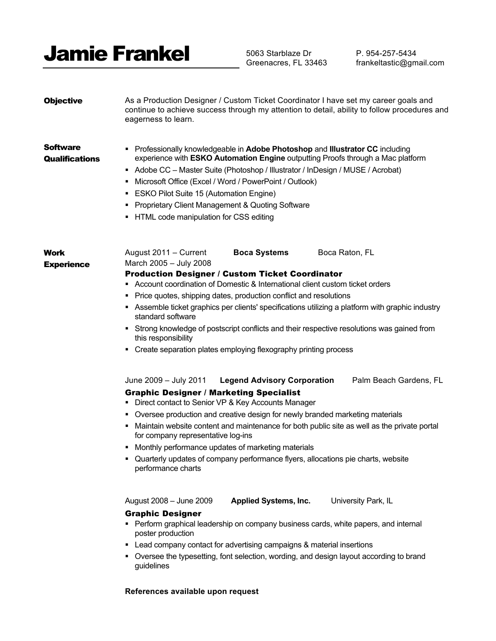

5063 Starblaze Dr Greenacres, FL 33463

P. 954-257-5434 frankeltastic@gmail.com

| <b>Objective</b>                         | As a Production Designer / Custom Ticket Coordinator I have set my career goals and<br>continue to achieve success through my attention to detail, ability to follow procedures and<br>eagerness to learn.                                                                                                                                                                                                                                                                                                                                                                                                                     |  |
|------------------------------------------|--------------------------------------------------------------------------------------------------------------------------------------------------------------------------------------------------------------------------------------------------------------------------------------------------------------------------------------------------------------------------------------------------------------------------------------------------------------------------------------------------------------------------------------------------------------------------------------------------------------------------------|--|
| <b>Software</b><br><b>Qualifications</b> | Professionally knowledgeable in Adobe Photoshop and Illustrator CC including<br>experience with ESKO Automation Engine outputting Proofs through a Mac platform<br>Adobe CC - Master Suite (Photoshop / Illustrator / InDesign / MUSE / Acrobat)<br>Microsoft Office (Excel / Word / PowerPoint / Outlook)<br>٠<br>• ESKO Pilot Suite 15 (Automation Engine)<br>• Proprietary Client Management & Quoting Software<br>• HTML code manipulation for CSS editing                                                                                                                                                                 |  |
| <b>Work</b><br><b>Experience</b>         | August 2011 - Current<br><b>Boca Systems</b><br>Boca Raton, FL<br>March 2005 - July 2008<br><b>Production Designer / Custom Ticket Coordinator</b><br>• Account coordination of Domestic & International client custom ticket orders<br>• Price quotes, shipping dates, production conflict and resolutions<br>Assemble ticket graphics per clients' specifications utilizing a platform with graphic industry<br>standard software<br>• Strong knowledge of postscript conflicts and their respective resolutions was gained from<br>this responsibility<br>• Create separation plates employing flexography printing process |  |
|                                          | June 2009 - July 2011<br><b>Legend Advisory Corporation</b><br>Palm Beach Gardens, FL<br><b>Graphic Designer / Marketing Specialist</b><br>• Direct contact to Senior VP & Key Accounts Manager<br>• Oversee production and creative design for newly branded marketing materials<br>• Maintain website content and maintenance for both public site as well as the private portal<br>for company representative log-ins<br>• Monthly performance updates of marketing materials<br>Quarterly updates of company performance flyers, allocations pie charts, website<br>performance charts                                     |  |
|                                          | August 2008 - June 2009<br><b>Applied Systems, Inc.</b><br>University Park, IL<br><b>Graphic Designer</b><br>Perform graphical leadership on company business cards, white papers, and internal<br>poster production<br>• Lead company contact for advertising campaigns & material insertions<br>• Oversee the typesetting, font selection, wording, and design layout according to brand<br>guidelines                                                                                                                                                                                                                       |  |

# **References available upon request**